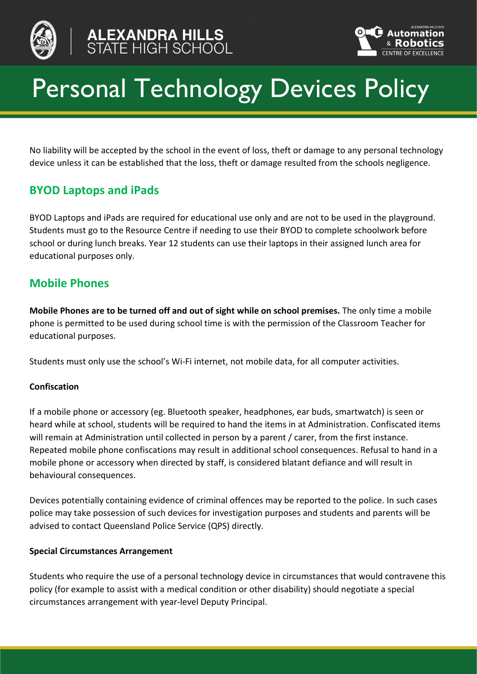





# Personal Technology Devices Policy

No liability will be accepted by the school in the event of loss, theft or damage to any personal technology device unless it can be established that the loss, theft or damage resulted from the schools negligence.

## **BYOD Laptops and iPads**

BYOD Laptops and iPads are required for educational use only and are not to be used in the playground. Students must go to the Resource Centre if needing to use their BYOD to complete schoolwork before school or during lunch breaks. Year 12 students can use their laptops in their assigned lunch area for educational purposes only.

## **Mobile Phones**

**Mobile Phones are to be turned off and out of sight while on school premises.** The only time a mobile phone is permitted to be used during school time is with the permission of the Classroom Teacher for educational purposes.

Students must only use the school's Wi-Fi internet, not mobile data, for all computer activities.

## **Confiscation**

If a mobile phone or accessory (eg. Bluetooth speaker, headphones, ear buds, smartwatch) is seen or heard while at school, students will be required to hand the items in at Administration. Confiscated items will remain at Administration until collected in person by a parent / carer, from the first instance. Repeated mobile phone confiscations may result in additional school consequences. Refusal to hand in a mobile phone or accessory when directed by staff, is considered blatant defiance and will result in behavioural consequences.

Devices potentially containing evidence of criminal offences may be reported to the police. In such cases police may take possession of such devices for investigation purposes and students and parents will be advised to contact Queensland Police Service (QPS) directly.

## **Special Circumstances Arrangement**

Students who require the use of a personal technology device in circumstances that would contravene this policy (for example to assist with a medical condition or other disability) should negotiate a special circumstances arrangement with year-level Deputy Principal.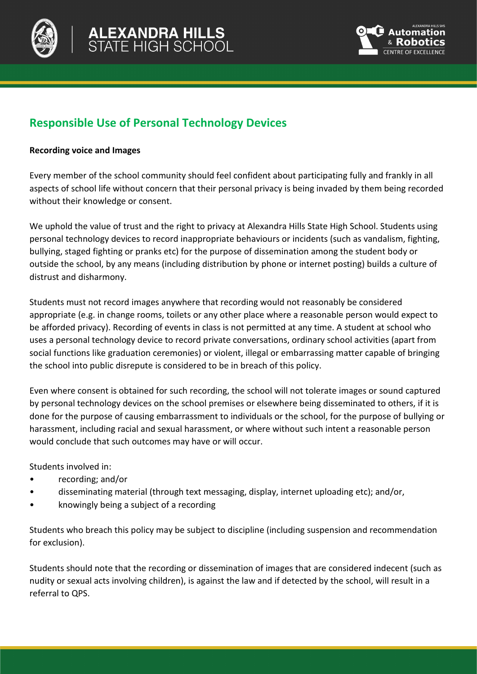



# **Responsible Use of Personal Technology Devices**

#### **Recording voice and Images**

Every member of the school community should feel confident about participating fully and frankly in all aspects of school life without concern that their personal privacy is being invaded by them being recorded without their knowledge or consent.

We uphold the value of trust and the right to privacy at Alexandra Hills State High School. Students using personal technology devices to record inappropriate behaviours or incidents (such as vandalism, fighting, bullying, staged fighting or pranks etc) for the purpose of dissemination among the student body or outside the school, by any means (including distribution by phone or internet posting) builds a culture of distrust and disharmony.

Students must not record images anywhere that recording would not reasonably be considered appropriate (e.g. in change rooms, toilets or any other place where a reasonable person would expect to be afforded privacy). Recording of events in class is not permitted at any time. A student at school who uses a personal technology device to record private conversations, ordinary school activities (apart from social functions like graduation ceremonies) or violent, illegal or embarrassing matter capable of bringing the school into public disrepute is considered to be in breach of this policy.

Even where consent is obtained for such recording, the school will not tolerate images or sound captured by personal technology devices on the school premises or elsewhere being disseminated to others, if it is done for the purpose of causing embarrassment to individuals or the school, for the purpose of bullying or harassment, including racial and sexual harassment, or where without such intent a reasonable person would conclude that such outcomes may have or will occur.

Students involved in:

- recording; and/or
- disseminating material (through text messaging, display, internet uploading etc); and/or,
- knowingly being a subject of a recording

Students who breach this policy may be subject to discipline (including suspension and recommendation for exclusion).

Students should note that the recording or dissemination of images that are considered indecent (such as nudity or sexual acts involving children), is against the law and if detected by the school, will result in a referral to QPS.